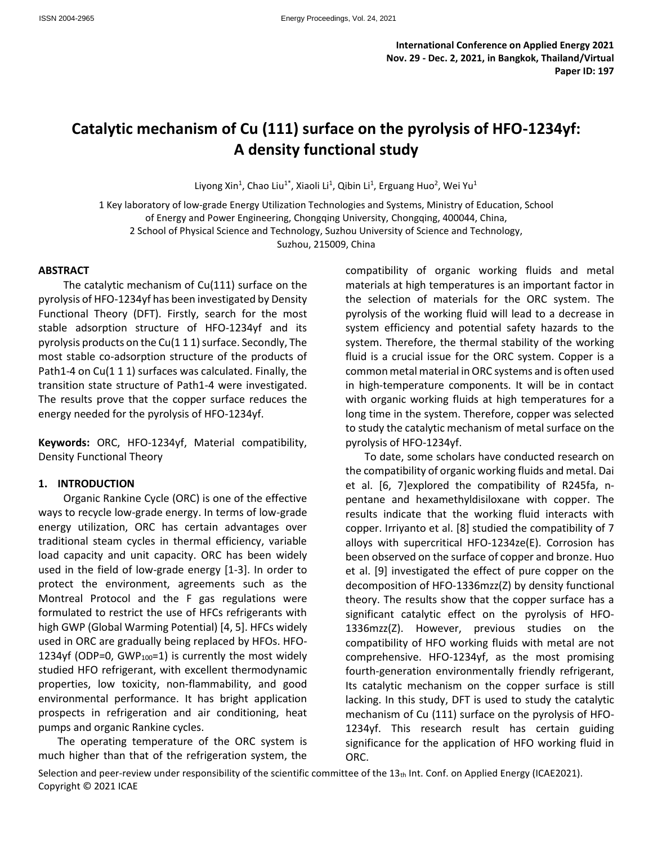**International Conference on Applied Energy 2021 Nov. 29 - Dec. 2, 2021, in Bangkok, Thailand/Virtual Paper ID: 197**

# **Catalytic mechanism of Cu (111) surface on the pyrolysis of HFO-1234yf: A density functional study**

Liyong Xin<sup>1</sup>, Chao Liu<sup>1\*</sup>, Xiaoli Li<sup>1</sup>, Qibin Li<sup>1</sup>, Erguang Huo<sup>2</sup>, Wei Yu<sup>1</sup>

1 Key laboratory of low-grade Energy Utilization Technologies and Systems, Ministry of Education, School of Energy and Power Engineering, Chongqing University, Chongqing, 400044, China, 2 School of Physical Science and Technology, Suzhou University of Science and Technology,

Suzhou, 215009, China

#### **ABSTRACT**

The catalytic mechanism of Cu(111) surface on the pyrolysis of HFO-1234yf has been investigated by Density Functional Theory (DFT). Firstly, search for the most stable adsorption structure of HFO-1234yf and its pyrolysis products on the Cu(1 1 1) surface. Secondly, The most stable co-adsorption structure of the products of Path1-4 on Cu(1 1 1) surfaces was calculated. Finally, the transition state structure of Path1-4 were investigated. The results prove that the copper surface reduces the energy needed for the pyrolysis of HFO-1234yf.

**Keywords:** ORC, HFO-1234yf, Material compatibility, Density Functional Theory

#### **1. INTRODUCTION**

Organic Rankine Cycle (ORC) is one of the effective ways to recycle low-grade energy. In terms of low-grade energy utilization, ORC has certain advantages over traditional steam cycles in thermal efficiency, variable load capacity and unit capacity. ORC has been widely used in the field of low-grade energy [1-3]. In order to protect the environment, agreements such as the Montreal Protocol and the F gas regulations were formulated to restrict the use of HFCs refrigerants with high GWP (Global Warming Potential) [4, 5]. HFCs widely used in ORC are gradually being replaced by HFOs. HFO-1234yf (ODP=0, GWP $_{100}$ =1) is currently the most widely studied HFO refrigerant, with excellent thermodynamic properties, low toxicity, non-flammability, and good environmental performance. It has bright application prospects in refrigeration and air conditioning, heat pumps and organic Rankine cycles.

The operating temperature of the ORC system is much higher than that of the refrigeration system, the compatibility of organic working fluids and metal materials at high temperatures is an important factor in the selection of materials for the ORC system. The pyrolysis of the working fluid will lead to a decrease in system efficiency and potential safety hazards to the system. Therefore, the thermal stability of the working fluid is a crucial issue for the ORC system. Copper is a common metal material in ORC systems and is often used in high-temperature components. It will be in contact with organic working fluids at high temperatures for a long time in the system. Therefore, copper was selected to study the catalytic mechanism of metal surface on the pyrolysis of HFO-1234yf.

To date, some scholars have conducted research on the compatibility of organic working fluids and metal. Dai et al. [6, 7]explored the compatibility of R245fa, npentane and hexamethyldisiloxane with copper. The results indicate that the working fluid interacts with copper. Irriyanto et al. [8] studied the compatibility of 7 alloys with supercritical HFO-1234ze(E). Corrosion has been observed on the surface of copper and bronze. Huo et al. [9] investigated the effect of pure copper on the decomposition of HFO-1336mzz(Z) by density functional theory. The results show that the copper surface has a significant catalytic effect on the pyrolysis of HFO-1336mzz(Z). However, previous studies on the compatibility of HFO working fluids with metal are not comprehensive. HFO-1234yf, as the most promising fourth-generation environmentally friendly refrigerant, Its catalytic mechanism on the copper surface is still lacking. In this study, DFT is used to study the catalytic mechanism of Cu (111) surface on the pyrolysis of HFO-1234yf. This research result has certain guiding significance for the application of HFO working fluid in ORC.

Selection and peer-review under responsibility of the scientific committee of the  $13<sub>th</sub>$  Int. Conf. on Applied Energy (ICAE2021). Copyright © 2021 ICAE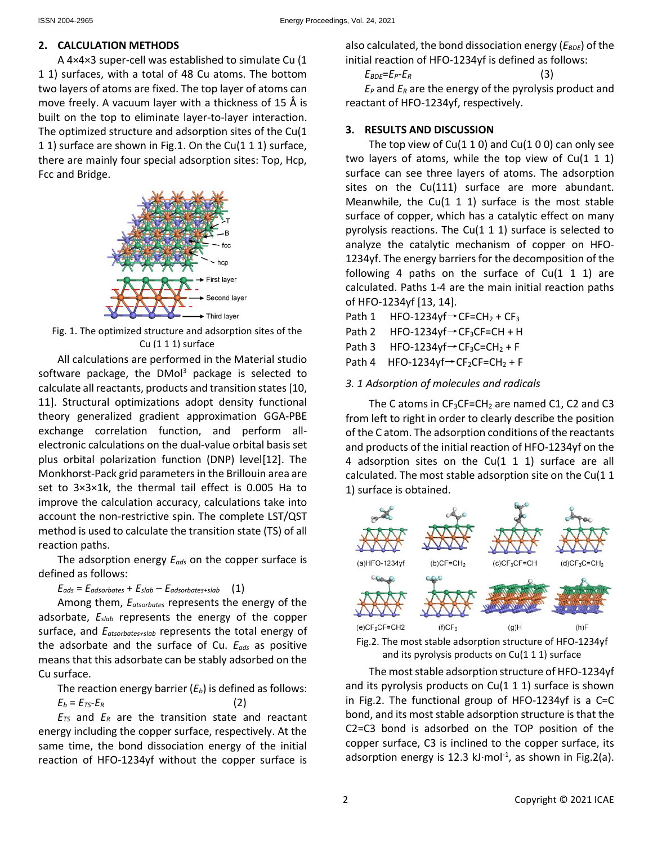## **2. CALCULATION METHODS**

A 4×4×3 super-cell was established to simulate Cu (1 1 1) surfaces, with a total of 48 Cu atoms. The bottom two layers of atoms are fixed. The top layer of atoms can move freely. A vacuum layer with a thickness of 15 Å is built on the top to eliminate layer-to-layer interaction. The optimized structure and adsorption sites of the Cu(1 1 1) surface are shown in Fig.1. On the Cu(1 1 1) surface, there are mainly four special adsorption sites: Top, Hcp, Fcc and Bridge.



Fig. 1. The optimized structure and adsorption sites of the Cu (1 1 1) surface

All calculations are performed in the Material studio software package, the  $DMOI<sup>3</sup>$  package is selected to calculate all reactants, products and transition states [10, 11]. Structural optimizations adopt density functional theory generalized gradient approximation GGA-PBE exchange correlation function, and perform allelectronic calculations on the dual-value orbital basis set plus orbital polarization function (DNP) level[12]. The Monkhorst-Pack grid parameters in the Brillouin area are set to 3×3×1k, the thermal tail effect is 0.005 Ha to improve the calculation accuracy, calculations take into account the non-restrictive spin. The complete LST/QST method is used to calculate the transition state (TS) of all reaction paths.

The adsorption energy *Eads* on the copper surface is defined as follows:

 $E_{ads} = E_{adsorbates} + E_{slab} - E_{adsorbates+slab}$  (1)

Among them, *Eatsorbates* represents the energy of the adsorbate, *Eslab* represents the energy of the copper surface, and *Eatsorbates+slab* represents the total energy of the adsorbate and the surface of Cu. *Eads* as positive means that this adsorbate can be stably adsorbed on the Cu surface.

The reaction energy barrier (*Eb*) is defined as follows:  $E_b = E_{TS} - E_R$  (2)

*ETS* and *E<sup>R</sup>* are the transition state and reactant energy including the copper surface, respectively. At the same time, the bond dissociation energy of the initial reaction of HFO-1234yf without the copper surface is also calculated, the bond dissociation energy ( $E_{BDE}$ ) of the initial reaction of HFO-1234yf is defined as follows:

 $E_{BDE} = E_P - E_R$  (3) *E<sup>P</sup>* and *E<sup>R</sup>* are the energy of the pyrolysis product and

reactant of HFO-1234yf, respectively.

## **3. RESULTS AND DISCUSSION**

The top view of  $Cu(1 1 0)$  and  $Cu(1 0 0)$  can only see two layers of atoms, while the top view of  $Cu(1\ 1\ 1)$ surface can see three layers of atoms. The adsorption sites on the Cu(111) surface are more abundant. Meanwhile, the Cu $(1 1 1)$  surface is the most stable surface of copper, which has a catalytic effect on many pyrolysis reactions. The Cu(1 1 1) surface is selected to analyze the catalytic mechanism of copper on HFO-1234yf. The energy barriers for the decomposition of the following 4 paths on the surface of  $Cu(1\ 1\ 1)$  are calculated. Paths 1-4 are the main initial reaction paths of HFO-1234yf [13, 14].

Path 1 HFO-1234yf $\rightarrow$ CF=CH<sub>2</sub> + CF<sub>3</sub>

Path 2 HFO-1234yf $\rightarrow$ CF<sub>3</sub>CF=CH + H

Path 3 HFO-1234yf $\rightarrow$ CF<sub>3</sub>C=CH<sub>2</sub> + F

Path 4 HFO-1234yf $\rightarrow$ CF<sub>2</sub>CF=CH<sub>2</sub> + F

### *3. 1 Adsorption of molecules and radicals*

The C atoms in  $CF_3CF=CH_2$  are named C1, C2 and C3 from left to right in order to clearly describe the position of the C atom. The adsorption conditions of the reactants and products of the initial reaction of HFO-1234yf on the 4 adsorption sites on the Cu(1 1 1) surface are all calculated. The most stable adsorption site on the Cu(1 1 1) surface is obtained.



Fig.2. The most stable adsorption structure of HFO-1234yf and its pyrolysis products on Cu(1 1 1) surface

The most stable adsorption structure of HFO-1234yf and its pyrolysis products on  $Cu(1 1 1)$  surface is shown in Fig.2. The functional group of HFO-1234yf is a C=C bond, and its most stable adsorption structure is that the C2=C3 bond is adsorbed on the TOP position of the copper surface, C3 is inclined to the copper surface, its adsorption energy is 12.3 kJ $\cdot$ mol<sup>-1</sup>, as shown in Fig.2(a).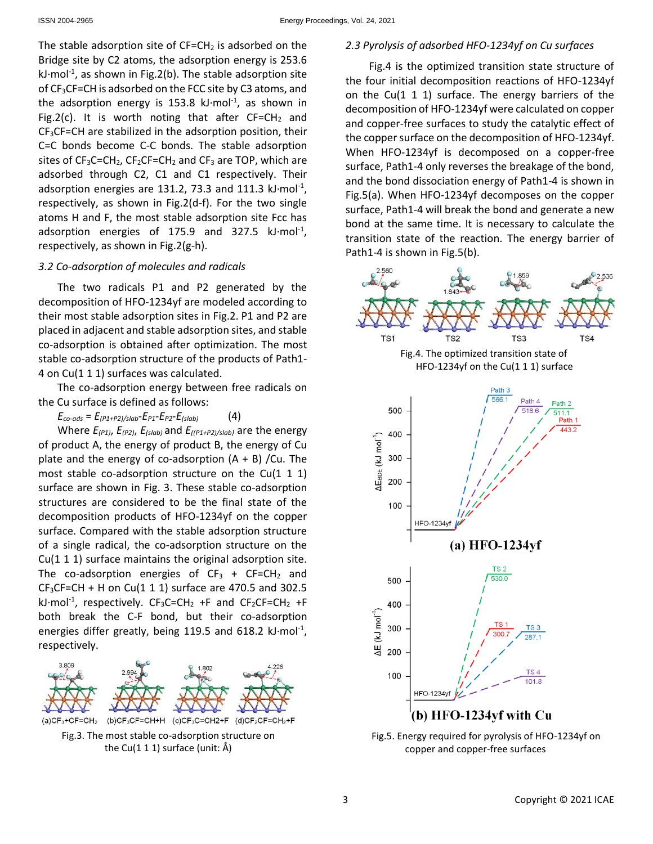The stable adsorption site of  $CF=CH_2$  is adsorbed on the Bridge site by C2 atoms, the adsorption energy is 253.6  $kJ$ ·mol<sup>-1</sup>, as shown in Fig.2(b). The stable adsorption site of CF<sub>3</sub>CF=CH is adsorbed on the FCC site by C3 atoms, and the adsorption energy is 153.8  $kJ$ -mol<sup>-1</sup>, as shown in Fig.2(c). It is worth noting that after  $CF=CH<sub>2</sub>$  and CF3CF=CH are stabilized in the adsorption position, their C=C bonds become C-C bonds. The stable adsorption sites of  $CF_3C=CH_2$ ,  $CF_2CF=CH_2$  and  $CF_3$  are TOP, which are adsorbed through C2, C1 and C1 respectively. Their adsorption energies are 131.2, 73.3 and 111.3  $\text{kl·mol}^{\text{-1}}$ , respectively, as shown in Fig.2(d-f). For the two single atoms H and F, the most stable adsorption site Fcc has adsorption energies of 175.9 and 327.5  $kJ\cdot mol^{-1}$ , respectively, as shown in Fig.2(g-h).

## *3.2 Co-adsorption of molecules and radicals*

The two radicals P1 and P2 generated by the decomposition of HFO-1234yf are modeled according to their most stable adsorption sites in Fig.2. P1 and P2 are placed in adjacent and stable adsorption sites, and stable co-adsorption is obtained after optimization. The most stable co-adsorption structure of the products of Path1- 4 on Cu(1 1 1) surfaces was calculated.

The co-adsorption energy between free radicals on the Cu surface is defined as follows:

 $E_{co-ads} = E_{(P1+P2)/slab} - E_{P1} - E_{P2} - E_{(slab)}$  (4)

Where *E(P1)*, *E(P2)*, *E(slab)* and *E((P1+P2)/slab)* are the energy of product A, the energy of product B, the energy of Cu plate and the energy of co-adsorption  $(A + B)$  /Cu. The most stable co-adsorption structure on the Cu(1 1 1) surface are shown in Fig. 3. These stable co-adsorption structures are considered to be the final state of the decomposition products of HFO-1234yf on the copper surface. Compared with the stable adsorption structure of a single radical, the co-adsorption structure on the Cu(1 1 1) surface maintains the original adsorption site. The co-adsorption energies of  $CF_3 + CF=CH_2$  and  $CF<sub>3</sub>CF=CH + H$  on Cu(1 1 1) surface are 470.5 and 302.5 kJ $\cdot$ mol<sup>-1</sup>, respectively. CF<sub>3</sub>C=CH<sub>2</sub> +F and CF<sub>2</sub>CF=CH<sub>2</sub> +F both break the C-F bond, but their co-adsorption energies differ greatly, being 119.5 and 618.2  $\text{kl·mol}^1$ , respectively.



## *2.3 Pyrolysis of adsorbed HFO-1234yf on Cu surfaces*

Fig.4 is the optimized transition state structure of the four initial decomposition reactions of HFO-1234yf on the Cu(1 1 1) surface. The energy barriers of the decomposition of HFO-1234yf were calculated on copper and copper-free surfaces to study the catalytic effect of the copper surface on the decomposition of HFO-1234yf. When HFO-1234yf is decomposed on a copper-free surface, Path1-4 only reverses the breakage of the bond, and the bond dissociation energy of Path1-4 is shown in Fig.5(a). When HFO-1234yf decomposes on the copper surface, Path1-4 will break the bond and generate a new bond at the same time. It is necessary to calculate the transition state of the reaction. The energy barrier of Path1-4 is shown in Fig.5(b).



Fig.5. Energy required for pyrolysis of HFO-1234yf on copper and copper-free surfaces